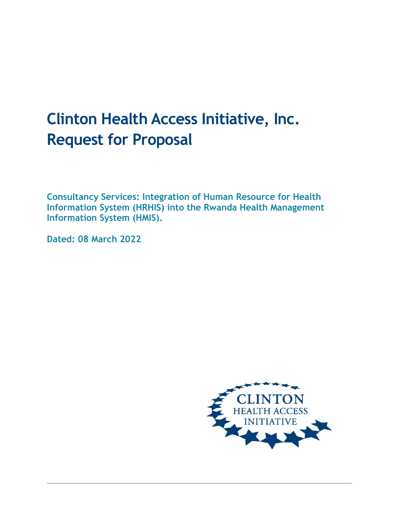# **Clinton Health Access Initiative, Inc. Request for Proposal**

**Consultancy Services: Integration of Human Resource for Health Information System (HRHIS) into the Rwanda Health Management Information System (HMIS).**

**Dated: 08 March 2022**

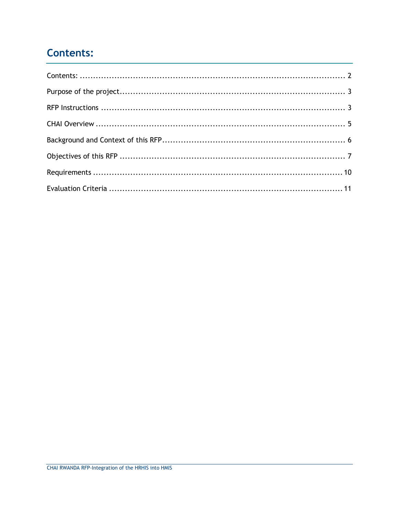# <span id="page-1-0"></span>**Contents:**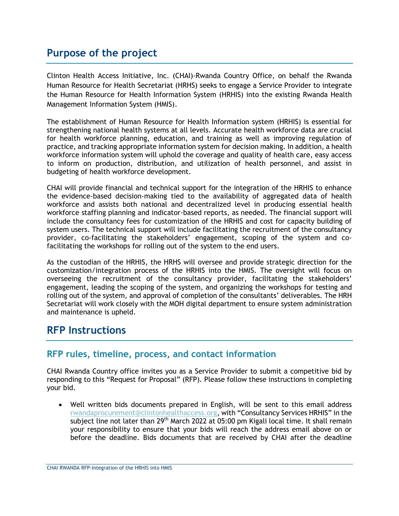# <span id="page-2-0"></span>**Purpose of the project**

Clinton Health Access Initiative, Inc. (CHAI)-Rwanda Country Office, on behalf the Rwanda Human Resource for Health Secretariat (HRHS) seeks to engage a Service Provider to integrate the Human Resource for Health Information System (HRHIS) into the existing Rwanda Health Management Information System (HMIS).

The establishment of Human Resource for Health Information system (HRHIS) is essential for strengthening national health systems at all levels. Accurate health workforce data are crucial for health workforce planning, education, and training as well as improving regulation of practice, and tracking appropriate information system for decision making. In addition, a health workforce information system will uphold the coverage and quality of health care, easy access to inform on production, distribution, and utilization of health personnel, and assist in budgeting of health workforce development.

CHAI will provide financial and technical support for the integration of the HRHIS to enhance the evidence-based decision-making tied to the availability of aggregated data of health workforce and assists both national and decentralized level in producing essential health workforce staffing planning and indicator-based reports, as needed. The financial support will include the consultancy fees for customization of the HRHIS and cost for capacity building of system users. The technical support will include facilitating the recruitment of the consultancy provider, co-facilitating the stakeholders' engagement, scoping of the system and cofacilitating the workshops for rolling out of the system to the end users.

As the custodian of the HRHIS, the HRHS will oversee and provide strategic direction for the customization/integration process of the HRHIS into the HMIS. The oversight will focus on overseeing the recruitment of the consultancy provider, facilitating the stakeholders' engagement, leading the scoping of the system, and organizing the workshops for testing and rolling out of the system, and approval of completion of the consultants' deliverables. The HRH Secretariat will work closely with the MOH digital department to ensure system administration and maintenance is upheld.

# <span id="page-2-1"></span>**RFP Instructions**

### **RFP rules, timeline, process, and contact information**

CHAI Rwanda Country office invites you as a Service Provider to submit a competitive bid by responding to this "Request for Proposal" (RFP). Please follow these instructions in completing your bid.

• Well written bids documents prepared in English, will be sent to this email address [rwandaprocurement@clintonhealthaccess.org](mailto:rwandaprocurement@clintonhealthaccess.org), with "Consultancy Services HRHIS" in the subject line not later than 29<sup>th</sup> March 2022 at 05:00 pm Kigali local time. It shall remain your responsibility to ensure that your bids will reach the address email above on or before the deadline. Bids documents that are received by CHAI after the deadline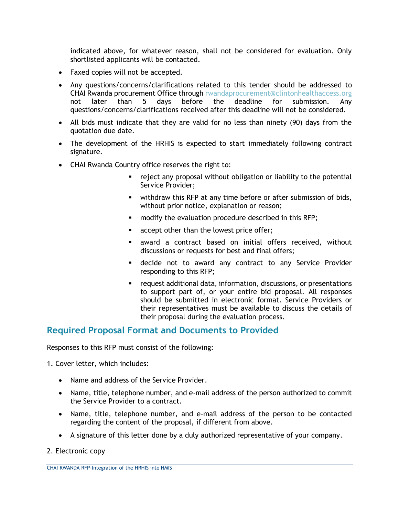indicated above, for whatever reason, shall not be considered for evaluation. Only shortlisted applicants will be contacted.

- Faxed copies will not be accepted.
- Any questions/concerns/clarifications related to this tender should be addressed to CHAI Rwanda procurement Office through [rwandaprocurement@clintonhealthaccess.org](mailto:rwandaprocurement@clintonhealthaccess.org) not later than 5 days before the deadline for submission. Any questions/concerns/clarifications received after this deadline will not be considered.
- All bids must indicate that they are valid for no less than ninety (90) days from the quotation due date.
- The development of the HRHIS is expected to start immediately following contract signature.
- CHAI Rwanda Country office reserves the right to:
	- reject any proposal without obligation or liability to the potential Service Provider;
	- **■** withdraw this RFP at any time before or after submission of bids, without prior notice, explanation or reason;
	- modify the evaluation procedure described in this RFP;
	- accept other than the lowest price offer;
	- award a contract based on initial offers received, without discussions or requests for best and final offers;
	- **E** decide not to award any contract to any Service Provider responding to this RFP;
	- request additional data, information, discussions, or presentations to support part of, or your entire bid proposal. All responses should be submitted in electronic format. Service Providers or their representatives must be available to discuss the details of their proposal during the evaluation process.

#### **Required Proposal Format and Documents to Provided**

Responses to this RFP must consist of the following:

1. Cover letter, which includes:

- Name and address of the Service Provider.
- Name, title, telephone number, and e-mail address of the person authorized to commit the Service Provider to a contract.
- Name, title, telephone number, and e-mail address of the person to be contacted regarding the content of the proposal, if different from above.
- A signature of this letter done by a duly authorized representative of your company.
- 2. Electronic copy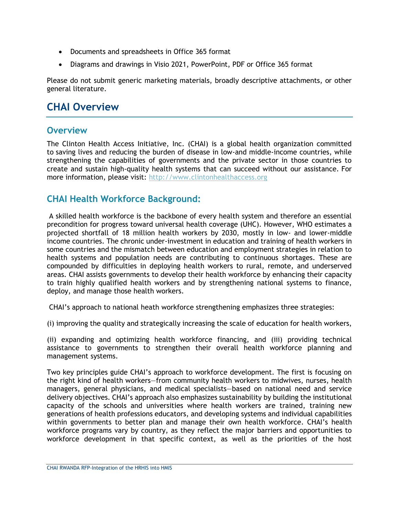- Documents and spreadsheets in Office 365 format
- Diagrams and drawings in Visio 2021, PowerPoint, PDF or Office 365 format

Please do not submit generic marketing materials, broadly descriptive attachments, or other general literature.

# <span id="page-4-0"></span>**CHAI Overview**

### **Overview**

The Clinton Health Access Initiative, Inc. (CHAI) is a global health organization committed to saving lives and reducing the burden of disease in low-and middle-income countries, while strengthening the capabilities of governments and the private sector in those countries to create and sustain high-quality health systems that can succeed without our assistance. For more information, please visit: [http://www.clintonhealthaccess.org](http://www.clintonhealthaccess.org/)

### **CHAI Health Workforce Background:**

A skilled health workforce is the backbone of every health system and therefore an essential precondition for progress toward universal health coverage (UHC). However, WHO estimates a projected shortfall of 18 million health workers by 2030, mostly in low- and lower-middle income countries. The chronic under-investment in education and training of health workers in some countries and the mismatch between education and employment strategies in relation to health systems and population needs are contributing to continuous shortages. These are compounded by difficulties in deploying health workers to rural, remote, and underserved areas. CHAI assists governments to develop their health workforce by enhancing their capacity to train highly qualified health workers and by strengthening national systems to finance, deploy, and manage those health workers.

CHAI's approach to national heath workforce strengthening emphasizes three strategies:

(i) improving the quality and strategically increasing the scale of education for health workers,

(ii) expanding and optimizing health workforce financing, and (iii) providing technical assistance to governments to strengthen their overall health workforce planning and management systems.

Two key principles guide CHAI's approach to workforce development. The first is focusing on the right kind of health workers—from community health workers to midwives, nurses, health managers, general physicians, and medical specialists—based on national need and service delivery objectives. CHAI's approach also emphasizes sustainability by building the institutional capacity of the schools and universities where health workers are trained, training new generations of health professions educators, and developing systems and individual capabilities within governments to better plan and manage their own health workforce. CHAI's health workforce programs vary by country, as they reflect the major barriers and opportunities to workforce development in that specific context, as well as the priorities of the host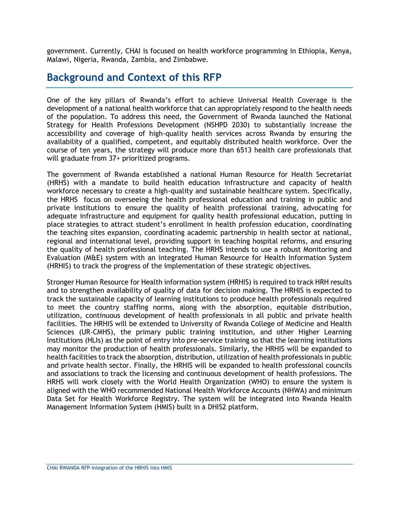government. Currently, CHAI is focused on health workforce programming in Ethiopia, Kenya, Malawi, Nigeria, Rwanda, Zambia, and Zimbabwe.

## <span id="page-5-0"></span>**Background and Context of this RFP**

One of the key pillars of Rwanda's effort to achieve Universal Health Coverage is the development of a national health workforce that can appropriately respond to the health needs of the population. To address this need, the Government of Rwanda launched the National Strategy for Health Professions Development (NSHPD 2030) to substantially increase the accessibility and coverage of high-quality health services across Rwanda by ensuring the availability of a qualified, competent, and equitably distributed health workforce. Over the course of ten years, the strategy will produce more than 6513 health care professionals that will graduate from 37+ prioritized programs.

The government of Rwanda established a national Human Resource for Health Secretariat (HRHS) with a mandate to build health education infrastructure and capacity of health workforce necessary to create a high-quality and sustainable healthcare system. Specifically, the HRHS focus on overseeing the health professional education and training in public and private institutions to ensure the quality of health professional training, advocating for adequate infrastructure and equipment for quality health professional education, putting in place strategies to attract student's enrollment in health profession education, coordinating the teaching sites expansion, coordinating academic partnership in health sector at national, regional and international level, providing support in teaching hospital reforms, and ensuring the quality of health professional teaching. The HRHS intends to use a robust Monitoring and Evaluation (M&E) system with an integrated Human Resource for Health Information System (HRHIS) to track the progress of the implementation of these strategic objectives.

Stronger Human Resource for Health information system (HRHIS) is required to track HRH results and to strengthen availability of quality of data for decision making. The HRHIS is expected to track the sustainable capacity of learning institutions to produce health professionals required to meet the country staffing norms, along with the absorption, equitable distribution, utilization, continuous development of health professionals in all public and private health facilities. The HRHIS will be extended to University of Rwanda College of Medicine and Health Sciences (UR-CMHS), the primary public training institution, and other Higher Learning Institutions (HLIs) as the point of entry into pre-service training so that the learning institutions may monitor the production of health professionals. Similarly, the HRHIS will be expanded to health facilities to track the absorption, distribution, utilization of health professionals in public and private health sector. Finally, the HRHIS will be expanded to health professional councils and associations to track the licensing and continuous development of health professions. The HRHS will work closely with the World Health Organization (WHO) to ensure the system is aligned with the WHO recommended National Health Workforce Accounts (NHWA) and minimum Data Set for Health Workforce Registry. The system will be integrated into Rwanda Health Management Information System (HMIS) built in a DHIS2 platform.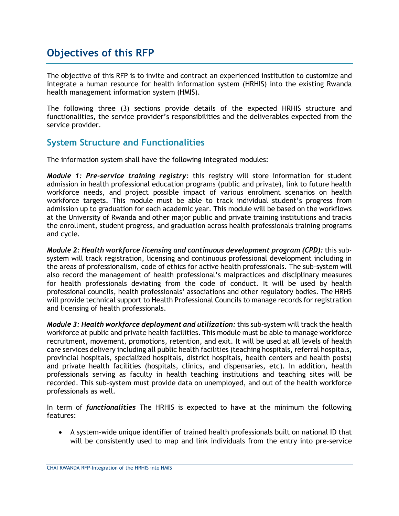# <span id="page-6-0"></span>**Objectives of this RFP**

The objective of this RFP is to invite and contract an experienced institution to customize and integrate a human resource for health information system (HRHIS) into the existing Rwanda health management information system (HMIS).

The following three (3) sections provide details of the expected HRHIS structure and functionalities, the service provider's responsibilities and the deliverables expected from the service provider.

### **System Structure and Functionalities**

The information system shall have the following integrated modules:

*Module 1: Pre-service training registry:* this registry will store information for student admission in health professional education programs (public and private), link to future health workforce needs, and project possible impact of various enrolment scenarios on health workforce targets. This module must be able to track individual student's progress from admission up to graduation for each academic year. This module will be based on the workflows at the University of Rwanda and other major public and private training institutions and tracks the enrollment, student progress, and graduation across health professionals training programs and cycle.

*Module 2: Health workforce licensing and continuous development program (CPD):* this subsystem will track registration, licensing and continuous professional development including in the areas of professionalism, code of ethics for active health professionals. The sub-system will also record the management of health professional's malpractices and disciplinary measures for health professionals deviating from the code of conduct. It will be used by health professional councils, health professionals' associations and other regulatory bodies. The HRHS will provide technical support to Health Professional Councils to manage records for registration and licensing of health professionals.

*Module 3: Health workforce deployment and utilization:* this sub-system will track the health workforce at public and private health facilities. This module must be able to manage workforce recruitment, movement, promotions, retention, and exit. It will be used at all levels of health care services delivery including all public health facilities (teaching hospitals, referral hospitals, provincial hospitals, specialized hospitals, district hospitals, health centers and health posts) and private health facilities (hospitals, clinics, and dispensaries, etc). In addition, health professionals serving as faculty in health teaching institutions and teaching sites will be recorded. This sub-system must provide data on unemployed, and out of the health workforce professionals as well.

In term of *functionalities* The HRHIS is expected to have at the minimum the following features:

• A system-wide unique identifier of trained health professionals built on national ID that will be consistently used to map and link individuals from the entry into pre-service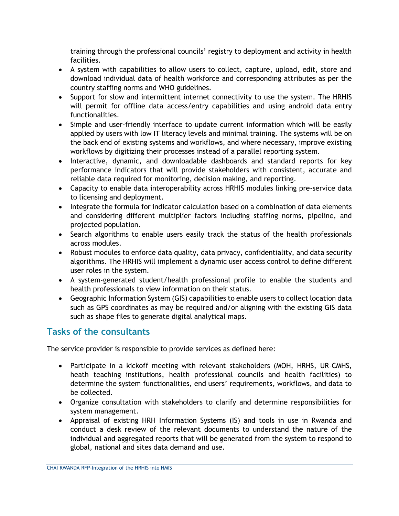training through the professional councils' registry to deployment and activity in health facilities.

- A system with capabilities to allow users to collect, capture, upload, edit, store and download individual data of health workforce and corresponding attributes as per the country staffing norms and WHO guidelines.
- Support for slow and intermittent internet connectivity to use the system. The HRHIS will permit for offline data access/entry capabilities and using android data entry functionalities.
- Simple and user-friendly interface to update current information which will be easily applied by users with low IT literacy levels and minimal training. The systems will be on the back end of existing systems and workflows, and where necessary, improve existing workflows by digitizing their processes instead of a parallel reporting system.
- Interactive, dynamic, and downloadable dashboards and standard reports for key performance indicators that will provide stakeholders with consistent, accurate and reliable data required for monitoring, decision making, and reporting.
- Capacity to enable data interoperability across HRHIS modules linking pre-service data to licensing and deployment.
- Integrate the formula for indicator calculation based on a combination of data elements and considering different multiplier factors including staffing norms, pipeline, and projected population.
- Search algorithms to enable users easily track the status of the health professionals across modules.
- Robust modules to enforce data quality, data privacy, confidentiality, and data security algorithms. The HRHIS will implement a dynamic user access control to define different user roles in the system.
- A system-generated student/health professional profile to enable the students and health professionals to view information on their status.
- Geographic Information System (GIS) capabilities to enable users to collect location data such as GPS coordinates as may be required and/or aligning with the existing GIS data such as shape files to generate digital analytical maps.

### **Tasks of the consultants**

The service provider is responsible to provide services as defined here:

- Participate in a kickoff meeting with relevant stakeholders (MOH, HRHS, UR-CMHS, heath teaching institutions, health professional councils and health facilities) to determine the system functionalities, end users' requirements, workflows, and data to be collected.
- Organize consultation with stakeholders to clarify and determine responsibilities for system management.
- Appraisal of existing HRH Information Systems (IS) and tools in use in Rwanda and conduct a desk review of the relevant documents to understand the nature of the individual and aggregated reports that will be generated from the system to respond to global, national and sites data demand and use.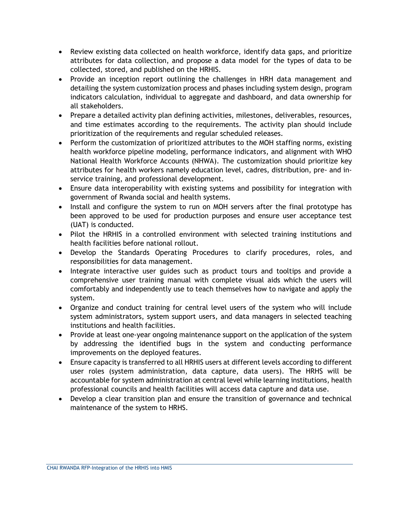- Review existing data collected on health workforce, identify data gaps, and prioritize attributes for data collection, and propose a data model for the types of data to be collected, stored, and published on the HRHIS.
- Provide an inception report outlining the challenges in HRH data management and detailing the system customization process and phases including system design, program indicators calculation, individual to aggregate and dashboard, and data ownership for all stakeholders.
- Prepare a detailed activity plan defining activities, milestones, deliverables, resources, and time estimates according to the requirements. The activity plan should include prioritization of the requirements and regular scheduled releases.
- Perform the customization of prioritized attributes to the MOH staffing norms, existing health workforce pipeline modeling, performance indicators, and alignment with WHO National Health Workforce Accounts (NHWA). The customization should prioritize key attributes for health workers namely education level, cadres, distribution, pre- and inservice training, and professional development.
- Ensure data interoperability with existing systems and possibility for integration with government of Rwanda social and health systems.
- Install and configure the system to run on MOH servers after the final prototype has been approved to be used for production purposes and ensure user acceptance test (UAT) is conducted.
- Pilot the HRHIS in a controlled environment with selected training institutions and health facilities before national rollout.
- Develop the Standards Operating Procedures to clarify procedures, roles, and responsibilities for data management.
- Integrate interactive user guides such as product tours and tooltips and provide a comprehensive user training manual with complete visual aids which the users will comfortably and independently use to teach themselves how to navigate and apply the system.
- Organize and conduct training for central level users of the system who will include system administrators, system support users, and data managers in selected teaching institutions and health facilities.
- Provide at least one-year ongoing maintenance support on the application of the system by addressing the identified bugs in the system and conducting performance improvements on the deployed features.
- Ensure capacity is transferred to all HRHIS users at different levels according to different user roles (system administration, data capture, data users). The HRHS will be accountable for system administration at central level while learning institutions, health professional councils and health facilities will access data capture and data use.
- Develop a clear transition plan and ensure the transition of governance and technical maintenance of the system to HRHS.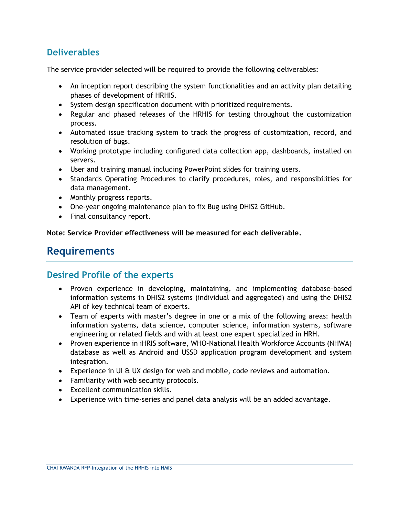### **Deliverables**

The service provider selected will be required to provide the following deliverables:

- An inception report describing the system functionalities and an activity plan detailing phases of development of HRHIS.
- System design specification document with prioritized requirements.
- Regular and phased releases of the HRHIS for testing throughout the customization process.
- Automated issue tracking system to track the progress of customization, record, and resolution of bugs.
- Working prototype including configured data collection app, dashboards, installed on servers.
- User and training manual including PowerPoint slides for training users.
- Standards Operating Procedures to clarify procedures, roles, and responsibilities for data management.
- Monthly progress reports.
- One-year ongoing maintenance plan to fix Bug using DHIS2 GitHub.
- Final consultancy report.

**Note: Service Provider effectiveness will be measured for each deliverable.**

# <span id="page-9-0"></span>**Requirements**

### **Desired Profile of the experts**

- Proven experience in developing, maintaining, and implementing database-based information systems in DHIS2 systems (individual and aggregated) and using the DHIS2 API of key technical team of experts.
- Team of experts with master's degree in one or a mix of the following areas: health information systems, data science, computer science, information systems, software engineering or related fields and with at least one expert specialized in HRH.
- Proven experience in iHRIS software, WHO-National Health Workforce Accounts (NHWA) database as well as Android and USSD application program development and system integration.
- Experience in UI & UX design for web and mobile, code reviews and automation.
- Familiarity with web security protocols.
- Excellent communication skills.
- Experience with time-series and panel data analysis will be an added advantage.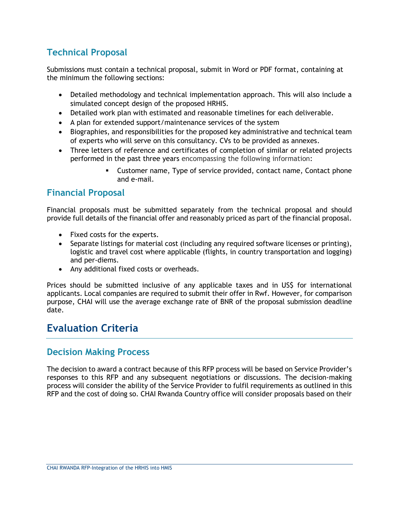### **Technical Proposal**

Submissions must contain a technical proposal, submit in Word or PDF format, containing at the minimum the following sections:

- Detailed methodology and technical implementation approach. This will also include a simulated concept design of the proposed HRHIS.
- Detailed work plan with estimated and reasonable timelines for each deliverable.
- A plan for extended support/maintenance services of the system
- Biographies, and responsibilities for the proposed key administrative and technical team of experts who will serve on this consultancy. CVs to be provided as annexes.
- Three letters of reference and certificates of completion of similar or related projects performed in the past three years encompassing the following information:
	- Customer name, Type of service provided, contact name, Contact phone and e-mail.

### **Financial Proposal**

Financial proposals must be submitted separately from the technical proposal and should provide full details of the financial offer and reasonably priced as part of the financial proposal.

- Fixed costs for the experts.
- Separate listings for material cost (including any required software licenses or printing), logistic and travel cost where applicable (flights, in country transportation and logging) and per-diems.
- Any additional fixed costs or overheads.

Prices should be submitted inclusive of any applicable taxes and in US\$ for international applicants. Local companies are required to submit their offer in Rwf. However, for comparison purpose, CHAI will use the average exchange rate of BNR of the proposal submission deadline date.

# <span id="page-10-0"></span>**Evaluation Criteria**

### **Decision Making Process**

The decision to award a contract because of this RFP process will be based on Service Provider's responses to this RFP and any subsequent negotiations or discussions. The decision-making process will consider the ability of the Service Provider to fulfil requirements as outlined in this RFP and the cost of doing so. CHAI Rwanda Country office will consider proposals based on their